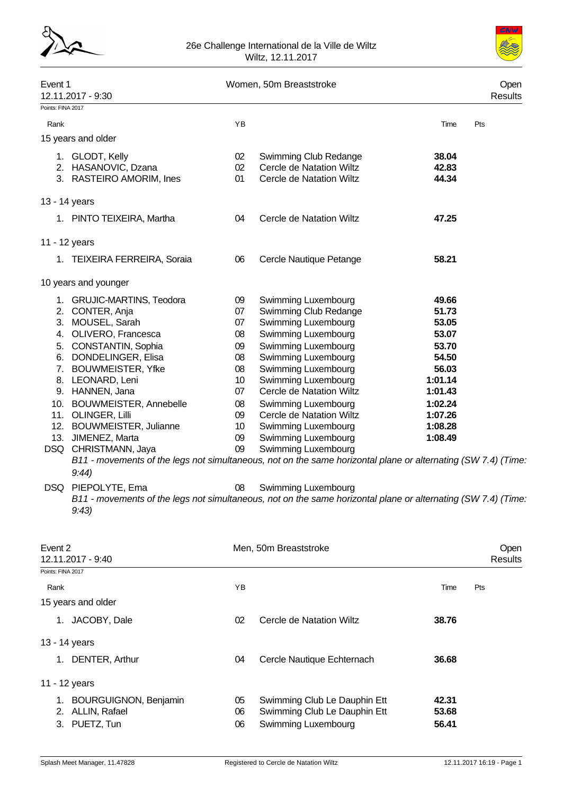



| Event 1           | 12.11.2017 - 9:30                                                                                                      |                 | Women, 50m Breaststroke  |         | Open<br><b>Results</b> |
|-------------------|------------------------------------------------------------------------------------------------------------------------|-----------------|--------------------------|---------|------------------------|
| Points: FINA 2017 |                                                                                                                        |                 |                          |         |                        |
| Rank              |                                                                                                                        | YB              |                          | Time    | Pts                    |
|                   | 15 years and older                                                                                                     |                 |                          |         |                        |
|                   | 1. GLODT, Kelly                                                                                                        | 02              | Swimming Club Redange    | 38.04   |                        |
|                   | 2. HASANOVIC, Dzana                                                                                                    | 02              | Cercle de Natation Wiltz | 42.83   |                        |
|                   | 3. RASTEIRO AMORIM, Ines                                                                                               | 01              | Cercle de Natation Wiltz | 44.34   |                        |
| 13 - 14 years     |                                                                                                                        |                 |                          |         |                        |
|                   | 1. PINTO TEIXEIRA, Martha                                                                                              | 04              | Cercle de Natation Wiltz | 47.25   |                        |
| 11 - 12 years     |                                                                                                                        |                 |                          |         |                        |
|                   | 1. TEIXEIRA FERREIRA, Soraia                                                                                           | 06              | Cercle Nautique Petange  | 58.21   |                        |
|                   | 10 years and younger                                                                                                   |                 |                          |         |                        |
|                   | 1. GRUJIC-MARTINS, Teodora                                                                                             | 09              | Swimming Luxembourg      | 49.66   |                        |
|                   | 2. CONTER, Anja                                                                                                        | 07              | Swimming Club Redange    | 51.73   |                        |
|                   | 3. MOUSEL, Sarah                                                                                                       | 07              | Swimming Luxembourg      | 53.05   |                        |
|                   | 4. OLIVERO, Francesca                                                                                                  | 08              | Swimming Luxembourg      | 53.07   |                        |
|                   | 5. CONSTANTIN, Sophia                                                                                                  | 09              | Swimming Luxembourg      | 53.70   |                        |
|                   | 6. DONDELINGER, Elisa                                                                                                  | 08              | Swimming Luxembourg      | 54.50   |                        |
|                   | 7. BOUWMEISTER, Yfke                                                                                                   | 08              | Swimming Luxembourg      | 56.03   |                        |
|                   | 8. LEONARD, Leni                                                                                                       | 10 <sup>°</sup> | Swimming Luxembourg      | 1:01.14 |                        |
|                   | 9. HANNEN, Jana                                                                                                        | 07              | Cercle de Natation Wiltz | 1:01.43 |                        |
|                   | 10. BOUWMEISTER, Annebelle                                                                                             | 08              | Swimming Luxembourg      | 1:02.24 |                        |
|                   | 11. OLINGER, Lilli                                                                                                     | 09              | Cercle de Natation Wiltz | 1:07.26 |                        |
|                   | 12. BOUWMEISTER, Julianne                                                                                              | 10 <sup>°</sup> | Swimming Luxembourg      | 1:08.28 |                        |
|                   | 13. JIMENEZ, Marta                                                                                                     | 09              | Swimming Luxembourg      | 1:08.49 |                        |
|                   | DSQ CHRISTMANN, Jaya                                                                                                   | 09              | Swimming Luxembourg      |         |                        |
|                   | B11 - movements of the legs not simultaneous, not on the same horizontal plane or alternating (SW 7.4) (Time.<br>9:44  |                 |                          |         |                        |
|                   | DSQ PIEPOLYTE, Ema                                                                                                     | 08              | Swimming Luxembourg      |         |                        |
|                   | B11 - movements of the legs not simultaneous, not on the same horizontal plane or alternating (SW 7.4) (Time.<br>9:43) |                 |                          |         |                        |
| Event 2           | 12.11.2017 - 9:40                                                                                                      |                 | Men, 50m Breaststroke    |         | Open<br>Results        |
| Points: FINA 2017 |                                                                                                                        |                 |                          |         |                        |

| Points: FINA 2017 |                                                             |                |                                                                                     |                         |     |
|-------------------|-------------------------------------------------------------|----------------|-------------------------------------------------------------------------------------|-------------------------|-----|
| Rank              |                                                             | ΥB             |                                                                                     | Time                    | Pts |
|                   | 15 years and older                                          |                |                                                                                     |                         |     |
|                   | JACOBY, Dale                                                | 02             | Cercle de Natation Wiltz                                                            | 38.76                   |     |
|                   | 13 - 14 years                                               |                |                                                                                     |                         |     |
| 1.                | DENTER, Arthur                                              | 04             | Cercle Nautique Echternach                                                          | 36.68                   |     |
|                   | 11 - 12 years                                               |                |                                                                                     |                         |     |
| 1.<br>2.<br>3.    | <b>BOURGUIGNON, Benjamin</b><br>ALLIN, Rafael<br>PUETZ, Tun | 05<br>06<br>06 | Swimming Club Le Dauphin Ett<br>Swimming Club Le Dauphin Ett<br>Swimming Luxembourg | 42.31<br>53.68<br>56.41 |     |
|                   |                                                             |                |                                                                                     |                         |     |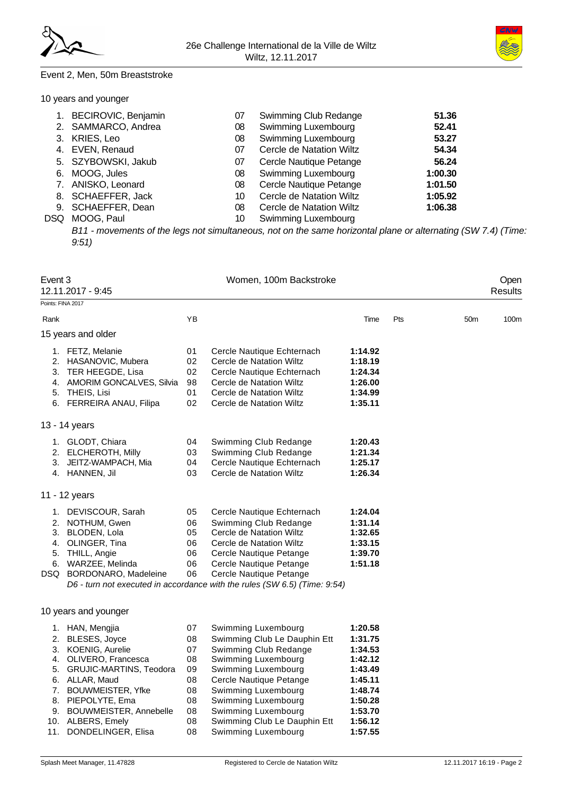

### Event 2, Men, 50m Breaststroke

| 10 years and younger |  |  |  |
|----------------------|--|--|--|
|----------------------|--|--|--|

| 1.   | BECIROVIC, Benjamin | 07 | Swimming Club Redange      | 51.36   |
|------|---------------------|----|----------------------------|---------|
|      | 2. SAMMARCO, Andrea | 08 | <b>Swimming Luxembourg</b> | 52.41   |
|      | 3. KRIES, Leo       | 08 | <b>Swimming Luxembourg</b> | 53.27   |
|      | 4. EVEN, Renaud     | 07 | Cercle de Natation Wiltz   | 54.34   |
|      | 5. SZYBOWSKI, Jakub | 07 | Cercle Nautique Petange    | 56.24   |
|      | 6. MOOG, Jules      | 08 | <b>Swimming Luxembourg</b> | 1:00.30 |
|      | 7. ANISKO, Leonard  | 08 | Cercle Nautique Petange    | 1:01.50 |
|      | 8. SCHAEFFER, Jack  | 10 | Cercle de Natation Wiltz   | 1:05.92 |
|      | 9. SCHAEFFER, Dean  | 08 | Cercle de Natation Wiltz   | 1:06.38 |
| DSQ. | MOOG, Paul          | 10 | Swimming Luxembourg        |         |
|      |                     |    |                            |         |

*B11 - movements of the legs not simultaneous, not on the same horizontal plane or alternating (SW 7.4) (Time: 9:51)*

| Event 3                          | 12.11.2017 - 9:45                                                                                                                                                                                                                                       |                                                                | Women, 100m Backstroke                                                                                                                                                                                                                                                            |                                                                                                                       |     |                 | Open<br><b>Results</b> |
|----------------------------------|---------------------------------------------------------------------------------------------------------------------------------------------------------------------------------------------------------------------------------------------------------|----------------------------------------------------------------|-----------------------------------------------------------------------------------------------------------------------------------------------------------------------------------------------------------------------------------------------------------------------------------|-----------------------------------------------------------------------------------------------------------------------|-----|-----------------|------------------------|
| Points: FINA 2017                |                                                                                                                                                                                                                                                         |                                                                |                                                                                                                                                                                                                                                                                   |                                                                                                                       |     |                 |                        |
| Rank                             |                                                                                                                                                                                                                                                         | YB                                                             |                                                                                                                                                                                                                                                                                   | Time                                                                                                                  | Pts | 50 <sub>m</sub> | 100m                   |
|                                  | 15 years and older                                                                                                                                                                                                                                      |                                                                |                                                                                                                                                                                                                                                                                   |                                                                                                                       |     |                 |                        |
| 2.<br>3.<br>4.<br>5.             | 1. FETZ, Melanie<br>HASANOVIC, Mubera<br>TER HEEGDE, Lisa<br>AMORIM GONCALVES, Silvia<br>THEIS, Lisi<br>6. FERREIRA ANAU, Filipa                                                                                                                        | 01<br>02<br>02<br>98<br>01<br>02                               | Cercle Nautique Echternach<br>Cercle de Natation Wiltz<br>Cercle Nautique Echternach<br>Cercle de Natation Wiltz<br>Cercle de Natation Wiltz<br>Cercle de Natation Wiltz                                                                                                          | 1:14.92<br>1:18.19<br>1:24.34<br>1:26.00<br>1:34.99<br>1:35.11                                                        |     |                 |                        |
|                                  | 13 - 14 years                                                                                                                                                                                                                                           |                                                                |                                                                                                                                                                                                                                                                                   |                                                                                                                       |     |                 |                        |
| 2.<br>3.                         | 1. GLODT, Chiara<br>ELCHEROTH, Milly<br>JEITZ-WAMPACH, Mia<br>4. HANNEN, Jil                                                                                                                                                                            | 04<br>03<br>04<br>03                                           | Swimming Club Redange<br>Swimming Club Redange<br>Cercle Nautique Echternach<br>Cercle de Natation Wiltz                                                                                                                                                                          | 1:20.43<br>1:21.34<br>1:25.17<br>1:26.34                                                                              |     |                 |                        |
|                                  | 11 - 12 years                                                                                                                                                                                                                                           |                                                                |                                                                                                                                                                                                                                                                                   |                                                                                                                       |     |                 |                        |
| 2.<br>3.<br>5.<br>6.<br>DSQ.     | 1. DEVISCOUR, Sarah<br>NOTHUM, Gwen<br>BLODEN, Lola<br>4. OLINGER, Tina<br>THILL, Angie<br>WARZEE, Melinda<br>BORDONARO, Madeleine                                                                                                                      | 05<br>06<br>05<br>06<br>06<br>06<br>06                         | Cercle Nautique Echternach<br>Swimming Club Redange<br>Cercle de Natation Wiltz<br>Cercle de Natation Wiltz<br>Cercle Nautique Petange<br>Cercle Nautique Petange<br>Cercle Nautique Petange<br>D6 - turn not executed in accordance with the rules (SW 6.5) (Time: 9:54)         | 1:24.04<br>1:31.14<br>1:32.65<br>1:33.15<br>1:39.70<br>1:51.18                                                        |     |                 |                        |
|                                  | 10 years and younger                                                                                                                                                                                                                                    |                                                                |                                                                                                                                                                                                                                                                                   |                                                                                                                       |     |                 |                        |
| 2.<br>3.<br>4.<br>5.<br>7.<br>9. | 1. HAN, Mengjia<br><b>BLESES, Joyce</b><br><b>KOENIG, Aurelie</b><br>OLIVERO, Francesca<br>GRUJIC-MARTINS, Teodora<br>6. ALLAR, Maud<br>BOUWMEISTER, Yfke<br>8. PIEPOLYTE, Ema<br>BOUWMEISTER, Annebelle<br>10. ALBERS, Emely<br>11. DONDELINGER, Elisa | 07<br>08<br>07<br>08<br>09<br>08<br>08<br>08<br>08<br>08<br>08 | Swimming Luxembourg<br>Swimming Club Le Dauphin Ett<br>Swimming Club Redange<br>Swimming Luxembourg<br>Swimming Luxembourg<br>Cercle Nautique Petange<br>Swimming Luxembourg<br>Swimming Luxembourg<br>Swimming Luxembourg<br>Swimming Club Le Dauphin Ett<br>Swimming Luxembourg | 1:20.58<br>1:31.75<br>1:34.53<br>1:42.12<br>1:43.49<br>1:45.11<br>1:48.74<br>1:50.28<br>1:53.70<br>1:56.12<br>1:57.55 |     |                 |                        |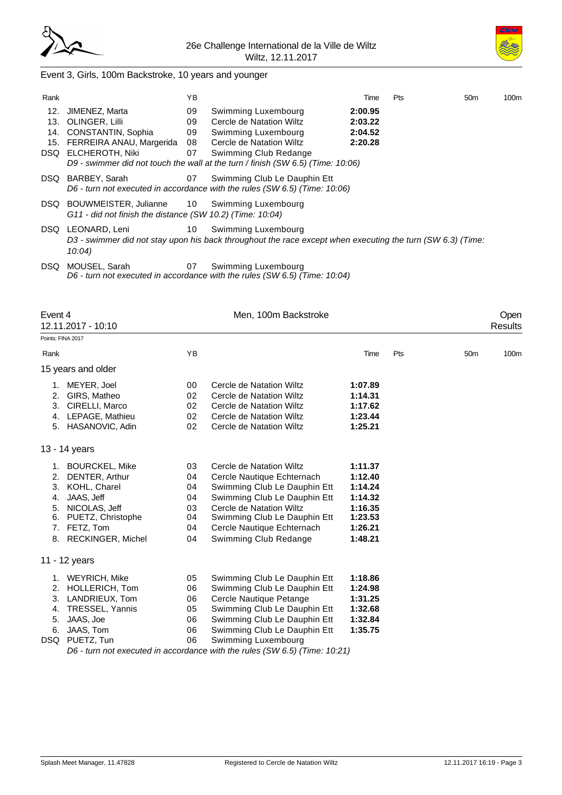



# Event 3, Girls, 100m Backstroke, 10 years and younger

| Rank              |                                                                                                               | ΥB                         |                                                                                                                                                                                                                | Time                                     | Pts | 50 <sub>m</sub> | 100m |
|-------------------|---------------------------------------------------------------------------------------------------------------|----------------------------|----------------------------------------------------------------------------------------------------------------------------------------------------------------------------------------------------------------|------------------------------------------|-----|-----------------|------|
| 12.<br>13.<br>14. | JIMENEZ, Marta<br>OLINGER, Lilli<br>CONSTANTIN, Sophia<br>15. FERREIRA ANAU, Margerida<br>DSQ ELCHEROTH, Niki | 09<br>09<br>09<br>08<br>07 | Swimming Luxembourg<br>Cercle de Natation Wiltz<br>Swimming Luxembourg<br>Cercle de Natation Wiltz<br>Swimming Club Redange<br>D9 - swimmer did not touch the wall at the turn / finish (SW 6.5) (Time: 10:06) | 2:00.95<br>2:03.22<br>2:04.52<br>2:20.28 |     |                 |      |
| DSQ.              | BARBEY, Sarah                                                                                                 | 07                         | Swimming Club Le Dauphin Ett<br>D6 - turn not executed in accordance with the rules (SW 6.5) (Time: 10:06)                                                                                                     |                                          |     |                 |      |
| DSQ.              | BOUWMEISTER, Julianne 10 Swimming Luxembourg<br>G11 - did not finish the distance (SW 10.2) (Time: 10:04)     |                            |                                                                                                                                                                                                                |                                          |     |                 |      |
|                   | DSQ LEONARD, Leni<br>10:04                                                                                    | 10                         | Swimming Luxembourg<br>D3 - swimmer did not stay upon his back throughout the race except when executing the turn (SW 6.3) (Time:                                                                              |                                          |     |                 |      |
| DSQ.              | MOUSEL, Sarah                                                                                                 | 07                         | Swimming Luxembourg                                                                                                                                                                                            |                                          |     |                 |      |

*D6 - turn not executed in accordance with the rules (SW 6.5) (Time: 10:04)*

| Event 4                    | 12.11.2017 - 10:10                                                                                                                              |                                              | Men, 100m Backstroke                                                                                                                                                                                                                                                                         |                                                                                      |     |                 | Open<br><b>Results</b> |
|----------------------------|-------------------------------------------------------------------------------------------------------------------------------------------------|----------------------------------------------|----------------------------------------------------------------------------------------------------------------------------------------------------------------------------------------------------------------------------------------------------------------------------------------------|--------------------------------------------------------------------------------------|-----|-----------------|------------------------|
| Points: FINA 2017          |                                                                                                                                                 |                                              |                                                                                                                                                                                                                                                                                              |                                                                                      |     |                 |                        |
| Rank                       |                                                                                                                                                 | YB                                           |                                                                                                                                                                                                                                                                                              | Time                                                                                 | Pts | 50 <sub>m</sub> | 100m                   |
|                            | 15 years and older                                                                                                                              |                                              |                                                                                                                                                                                                                                                                                              |                                                                                      |     |                 |                        |
| 1.<br>2.<br>3.<br>4.       | MEYER, Joel<br>GIRS, Matheo<br>CIRELLI, Marco<br>LEPAGE, Mathieu<br>5. HASANOVIC, Adin                                                          | 00<br>02<br>02<br>02<br>02                   | Cercle de Natation Wiltz<br>Cercle de Natation Wiltz<br>Cercle de Natation Wiltz<br>Cercle de Natation Wiltz<br>Cercle de Natation Wiltz                                                                                                                                                     | 1:07.89<br>1:14.31<br>1:17.62<br>1:23.44<br>1:25.21                                  |     |                 |                        |
|                            | 13 - 14 years                                                                                                                                   |                                              |                                                                                                                                                                                                                                                                                              |                                                                                      |     |                 |                        |
| 2.<br>4.<br>5.<br>6.<br>7. | 1. BOURCKEL, Mike<br>DENTER, Arthur<br>3. KOHL, Charel<br>JAAS, Jeff<br>NICOLAS, Jeff<br>PUETZ, Christophe<br>FETZ, Tom<br>8. RECKINGER, Michel | 03<br>04<br>04<br>04<br>03<br>04<br>04<br>04 | Cercle de Natation Wiltz<br>Cercle Nautique Echternach<br>Swimming Club Le Dauphin Ett<br>Swimming Club Le Dauphin Ett<br>Cercle de Natation Wiltz<br>Swimming Club Le Dauphin Ett<br>Cercle Nautique Echternach<br>Swimming Club Redange                                                    | 1:11.37<br>1:12.40<br>1:14.24<br>1:14.32<br>1:16.35<br>1:23.53<br>1:26.21<br>1:48.21 |     |                 |                        |
|                            | 11 - 12 years                                                                                                                                   |                                              |                                                                                                                                                                                                                                                                                              |                                                                                      |     |                 |                        |
| 2.<br>3.<br>4.<br>5.<br>6. | 1. WEYRICH, Mike<br>HOLLERICH, Tom<br>LANDRIEUX, Tom<br>TRESSEL, Yannis<br>JAAS, Joe<br>JAAS, Tom<br>DSQ PUETZ, Tun                             | 05<br>06<br>06<br>05<br>06<br>06<br>06       | Swimming Club Le Dauphin Ett<br>Swimming Club Le Dauphin Ett<br>Cercle Nautique Petange<br>Swimming Club Le Dauphin Ett<br>Swimming Club Le Dauphin Ett<br>Swimming Club Le Dauphin Ett<br>Swimming Luxembourg<br>D6 - turn not executed in accordance with the rules (SW 6.5) (Time: 10:21) | 1:18.86<br>1:24.98<br>1:31.25<br>1:32.68<br>1:32.84<br>1:35.75                       |     |                 |                        |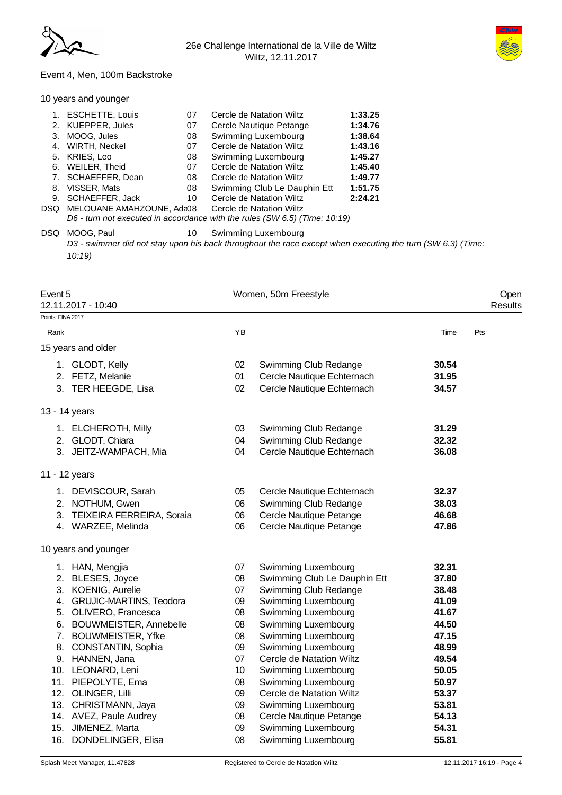



#### Event 4, Men, 100m Backstroke

10 years and younger

| 1. ESCHETTE, Louis            | 07 | Cercle de Natation Wiltz                                                   | 1:33.25 |
|-------------------------------|----|----------------------------------------------------------------------------|---------|
| 2. KUEPPER, Jules             | 07 | Cercle Nautique Petange                                                    | 1:34.76 |
| 3. MOOG, Jules                | 08 | Swimming Luxembourg                                                        | 1:38.64 |
| 4. WIRTH, Neckel              | 07 | Cercle de Natation Wiltz                                                   | 1:43.16 |
| 5. KRIES, Leo                 | 08 | Swimming Luxembourg                                                        | 1:45.27 |
| 6. WEILER, Theid              | 07 | Cercle de Natation Wiltz                                                   | 1:45.40 |
| 7. SCHAEFFER, Dean            | 08 | Cercle de Natation Wiltz                                                   | 1:49.77 |
| 8. VISSER, Mats               | 08 | Swimming Club Le Dauphin Ett                                               | 1:51.75 |
| 9. SCHAEFFER, Jack            | 10 | Cercle de Natation Wiltz                                                   | 2:24.21 |
| DSQ MELOUANE AMAHZOUNE, Ada08 |    | Cercle de Natation Wiltz                                                   |         |
|                               |    | D6 - turn not executed in accordance with the rules (SW 6.5) (Time: 10:19) |         |
|                               |    |                                                                            |         |

DSQ MOOG, Paul 10 Swimming Luxembourg *D3 - swimmer did not stay upon his back throughout the race except when executing the turn (SW 6.3) (Time: 10:19)*

| Event 5<br>12.11.2017 - 10:40 |                 | Women, 50m Freestyle         |       | Open<br>Results |
|-------------------------------|-----------------|------------------------------|-------|-----------------|
| Points: FINA 2017             |                 |                              |       |                 |
| Rank                          | YB              |                              | Time  | Pts             |
| 15 years and older            |                 |                              |       |                 |
| 1. GLODT, Kelly               | 02              | Swimming Club Redange        | 30.54 |                 |
| 2. FETZ, Melanie              | 01              | Cercle Nautique Echternach   | 31.95 |                 |
| 3. TER HEEGDE, Lisa           | 02              | Cercle Nautique Echternach   | 34.57 |                 |
| 13 - 14 years                 |                 |                              |       |                 |
| 1. ELCHEROTH, Milly           | 03              | Swimming Club Redange        | 31.29 |                 |
| 2. GLODT, Chiara              | 04              | Swimming Club Redange        | 32.32 |                 |
| 3. JEITZ-WAMPACH, Mia         | 04              | Cercle Nautique Echternach   | 36.08 |                 |
| 11 - 12 years                 |                 |                              |       |                 |
| 1. DEVISCOUR, Sarah           | 05              | Cercle Nautique Echternach   | 32.37 |                 |
| 2. NOTHUM, Gwen               | 06              | Swimming Club Redange        | 38.03 |                 |
| 3. TEIXEIRA FERREIRA, Soraia  | 06              | Cercle Nautique Petange      | 46.68 |                 |
| 4. WARZEE, Melinda            | 06              | Cercle Nautique Petange      | 47.86 |                 |
| 10 years and younger          |                 |                              |       |                 |
| 1. HAN, Mengjia               | 07              | Swimming Luxembourg          | 32.31 |                 |
| 2. BLESES, Joyce              | 08              | Swimming Club Le Dauphin Ett | 37.80 |                 |
| 3. KOENIG, Aurelie            | 07              | Swimming Club Redange        | 38.48 |                 |
| 4. GRUJIC-MARTINS, Teodora    | 09              | Swimming Luxembourg          | 41.09 |                 |
| 5. OLIVERO, Francesca         | 08              | Swimming Luxembourg          | 41.67 |                 |
| 6. BOUWMEISTER, Annebelle     | 08              | Swimming Luxembourg          | 44.50 |                 |
| 7. BOUWMEISTER, Yfke          | 08              | Swimming Luxembourg          | 47.15 |                 |
| 8. CONSTANTIN, Sophia         | 09              | Swimming Luxembourg          | 48.99 |                 |
| 9. HANNEN, Jana               | 07              | Cercle de Natation Wiltz     | 49.54 |                 |
| 10. LEONARD, Leni             | 10 <sup>°</sup> | Swimming Luxembourg          | 50.05 |                 |
| 11. PIEPOLYTE, Ema            | 08              | Swimming Luxembourg          | 50.97 |                 |
| 12. OLINGER, Lilli            | 09              | Cercle de Natation Wiltz     | 53.37 |                 |
| 13. CHRISTMANN, Jaya          | 09              | Swimming Luxembourg          | 53.81 |                 |
| 14. AVEZ, Paule Audrey        | 08              | Cercle Nautique Petange      | 54.13 |                 |
| 15. JIMENEZ, Marta            | 09              | Swimming Luxembourg          | 54.31 |                 |
| 16. DONDELINGER, Elisa        | 08              | Swimming Luxembourg          | 55.81 |                 |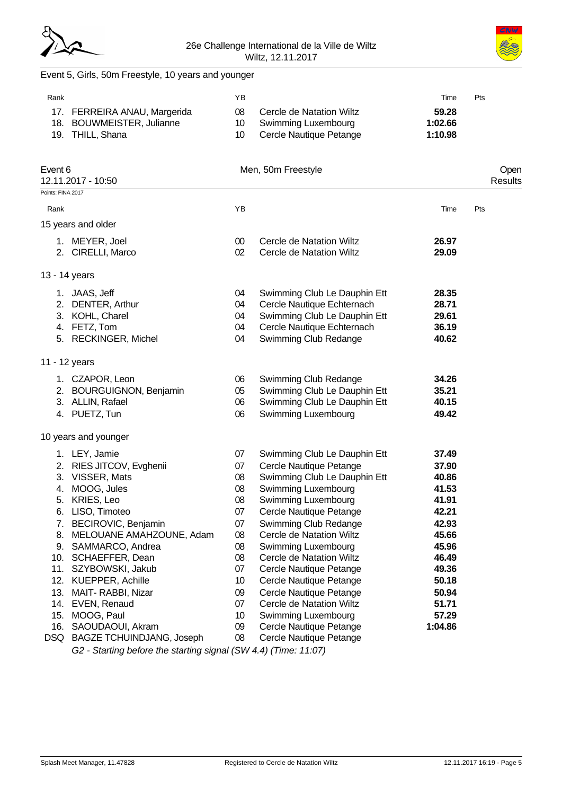



# Event 5, Girls, 50m Freestyle, 10 years and younger

| Rank              |                                                                               | YB                          |                                                                            | Time                        | Pts             |
|-------------------|-------------------------------------------------------------------------------|-----------------------------|----------------------------------------------------------------------------|-----------------------------|-----------------|
|                   | 17. FERREIRA ANAU, Margerida<br>18. BOUWMEISTER, Julianne<br>19. THILL, Shana | 08<br>10 <sup>°</sup><br>10 | Cercle de Natation Wiltz<br>Swimming Luxembourg<br>Cercle Nautique Petange | 59.28<br>1:02.66<br>1:10.98 |                 |
| Event 6           | 12.11.2017 - 10:50                                                            |                             | Men, 50m Freestyle                                                         |                             | Open<br>Results |
| Points: FINA 2017 |                                                                               |                             |                                                                            |                             |                 |
| Rank              |                                                                               | YB                          |                                                                            | Time                        | Pts             |
|                   | 15 years and older                                                            |                             |                                                                            |                             |                 |
|                   |                                                                               |                             |                                                                            |                             |                 |
|                   | 1. MEYER, Joel                                                                | 00                          | Cercle de Natation Wiltz                                                   | 26.97                       |                 |
|                   | 2. CIRELLI, Marco                                                             | 02                          | Cercle de Natation Wiltz                                                   | 29.09                       |                 |
|                   | 13 - 14 years                                                                 |                             |                                                                            |                             |                 |
|                   | 1. JAAS, Jeff                                                                 | 04                          | Swimming Club Le Dauphin Ett                                               | 28.35                       |                 |
|                   | 2. DENTER, Arthur                                                             | 04                          | Cercle Nautique Echternach                                                 | 28.71                       |                 |
|                   | 3. KOHL, Charel                                                               | 04                          | Swimming Club Le Dauphin Ett                                               | 29.61                       |                 |
|                   | 4. FETZ, Tom                                                                  | 04                          | Cercle Nautique Echternach                                                 | 36.19                       |                 |
|                   | 5. RECKINGER, Michel                                                          | 04                          | Swimming Club Redange                                                      | 40.62                       |                 |
|                   | 11 - 12 years                                                                 |                             |                                                                            |                             |                 |
|                   |                                                                               |                             |                                                                            | 34.26                       |                 |
|                   | 1. CZAPOR, Leon<br>2. BOURGUIGNON, Benjamin                                   | 06<br>05                    | Swimming Club Redange<br>Swimming Club Le Dauphin Ett                      | 35.21                       |                 |
|                   | 3. ALLIN, Rafael                                                              | 06                          | Swimming Club Le Dauphin Ett                                               | 40.15                       |                 |
|                   | 4. PUETZ, Tun                                                                 | 06                          | Swimming Luxembourg                                                        | 49.42                       |                 |
|                   |                                                                               |                             |                                                                            |                             |                 |
|                   | 10 years and younger                                                          |                             |                                                                            |                             |                 |
|                   | 1. LEY, Jamie                                                                 | 07                          | Swimming Club Le Dauphin Ett                                               | 37.49                       |                 |
|                   | 2. RIES JITCOV, Evghenii                                                      | 07                          | Cercle Nautique Petange                                                    | 37.90                       |                 |
|                   | 3. VISSER, Mats                                                               | 08                          | Swimming Club Le Dauphin Ett                                               | 40.86                       |                 |
|                   | 4. MOOG, Jules                                                                | 08                          | Swimming Luxembourg                                                        | 41.53                       |                 |
|                   | 5. KRIES, Leo                                                                 | 08                          | Swimming Luxembourg                                                        | 41.91                       |                 |
|                   | 6. LISO, Timoteo                                                              | 07                          | Cercle Nautique Petange                                                    | 42.21                       |                 |
| 7.                | BECIROVIC, Benjamin                                                           | 07                          | Swimming Club Redange                                                      | 42.93                       |                 |
| 8.                | MELOUANE AMAHZOUNE, Adam                                                      | 08                          | Cercle de Natation Wiltz                                                   | 45.66                       |                 |
|                   | 9. SAMMARCO, Andrea                                                           | 08                          | Swimming Luxembourg                                                        | 45.96                       |                 |
| 10.               | SCHAEFFER, Dean                                                               | 08                          | Cercle de Natation Wiltz                                                   | 46.49                       |                 |
| 11.               | SZYBOWSKI, Jakub                                                              | 07                          | Cercle Nautique Petange                                                    | 49.36                       |                 |
| 13.               | 12. KUEPPER, Achille                                                          | 10 <sup>°</sup>             | Cercle Nautique Petange<br>Cercle Nautique Petange                         | 50.18                       |                 |
| 14.               | MAIT-RABBI, Nizar<br>EVEN, Renaud                                             | 09<br>07                    | Cercle de Natation Wiltz                                                   | 50.94<br>51.71              |                 |
| 15.               | MOOG, Paul                                                                    | 10                          | Swimming Luxembourg                                                        | 57.29                       |                 |
| 16.               | SAOUDAOUI, Akram                                                              | 09                          | Cercle Nautique Petange                                                    | 1:04.86                     |                 |
| DSQ               | <b>BAGZE TCHUINDJANG, Joseph</b>                                              | 80                          | Cercle Nautique Petange                                                    |                             |                 |

*G2 - Starting before the starting signal (SW 4.4) (Time: 11:07)*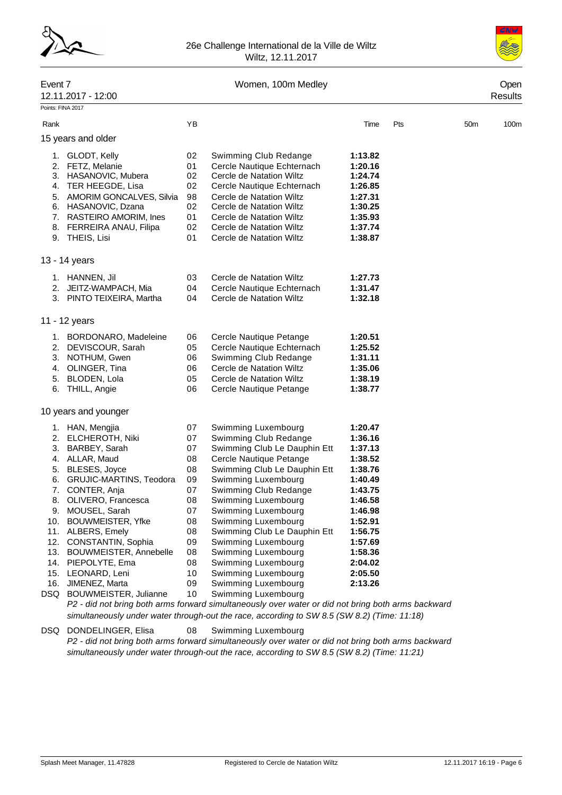



# Event 7 Communication of the U.S. Communication of the U.S. Communication of the U.S. Communication of the U.S 12.11.2017 - 12:00 Results Pointe: FINA 2017 Rank 100m (The Pts 50m 100m of the Past 100m of the Pts 50m 100m 15 years and older 1. GLODT, Kelly 02 Swimming Club Redange **1:13.82** 2. FETZ, Melanie 01 Cercle Nautique Echternach **1:20.16** 3. HASANOVIC, Mubera 4. TER HEEGDE, Lisa 02 Cercle Nautique Echternach **1:26.85** 5. AMORIM GONCALVES, Silvia 98 Cercle de Natation Wiltz **1:27.31** 6. HASANOVIC, Dzana 02 Cercle de Natation Wiltz **1:30.25** 7. RASTEIRO AMORIM, Ines 01 Cercle de Natation Wiltz **1:35.93** 8. FERREIRA ANAU, Filipa 02 Cercle de Natation Wiltz **1:37.74** 9. THEIS, Lisi 01 Cercle de Natation Wiltz **1:38.87** 13 - 14 years 1. HANNEN, Jil 03 Cercle de Natation Wiltz **1:27.73** 2. JEITZ-WAMPACH, Mia 04 Cercle Nautique Echternach **1:31.47** 3. PINTO TEIXEIRA, Martha 04 Cercle de Natation Wiltz **1:32.18** 11 - 12 years 1. BORDONARO, Madeleine 06 Cercle Nautique Petange **1:20.51** 2. DEVISCOUR, Sarah 05 Cercle Nautique Echternach **1:25.52** 3. NOTHUM, Gwen 06 Swimming Club Redange **1:31.11** 4. OLINGER, Tina 06 Cercle de Natation Wiltz **1:35.06** 5. BLODEN, Lola 05 Cercle de Natation Wiltz **1:38.19** 6. THILL, Angie 06 Cercle Nautique Petange **1:38.77** 10 years and younger 1. HAN, Mengjia 07 Swimming Luxembourg **1:20.47** 2. ELCHEROTH, Niki 07 Swimming Club Redange **1:36.16** 3. BARBEY, Sarah 07 Swimming Club Le Dauphin Ett **1:37.13** 4. ALLAR, Maud 08 Cercle Nautique Petange **1:38.52** 5. BLESES, Joyce 08 Swimming Club Le Dauphin Ett **1:38.76** 6. GRUJIC-MARTINS, Teodora 09 Swimming Luxembourg **1:40.49** 7. CONTER, Anja 07 Swimming Club Redange **1:43.75** 8. OLIVERO, Francesca 08 Swimming Luxembourg **1:46.58** 9. MOUSEL, Sarah 07 Swimming Luxembourg **1:46.98** 10. BOUWMEISTER, Yfke 08 Swimming Luxembourg **1:52.91** 11. ALBERS, Emely 08 Swimming Club Le Dauphin Ett **1:56.75** 12. CONSTANTIN, Sophia 09 Swimming Luxembourg **1:57.69** 13. BOUWMEISTER, Annebelle 08 Swimming Luxembourg **1:58.36** 14. PIEPOLYTE, Ema 08 Swimming Luxembourg **2:04.02** 15. LEONARD, Leni 10 Swimming Luxembourg **2:05.50** 16. JIMENEZ, Marta 09 Swimming Luxembourg **2:13.26** DSQ BOUWMEISTER, Julianne 10 Swimming Luxembourg *P2 - did not bring both arms forward simultaneously over water or did not bring both arms backward*

*simultaneously under water through-out the race, according to SW 8.5 (SW 8.2) (Time: 11:18)*

DSQ DONDELINGER, Elisa 08 Swimming Luxembourg *P2 - did not bring both arms forward simultaneously over water or did not bring both arms backward simultaneously under water through-out the race, according to SW 8.5 (SW 8.2) (Time: 11:21)*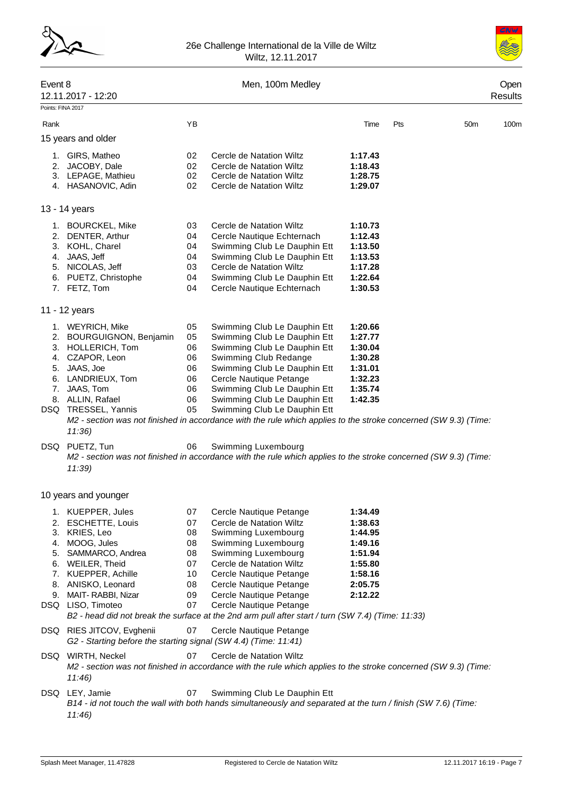



| Event 8           | 12.11.2017 - 12:20                                                                                                                                                                                                                                                                                                                                  |                                                                      | Men, 100m Medley                                                                                                                                                                                                                                                                                                                                                                                                                                                                                                                              |                                                                                                 |     | Open<br><b>Results</b> |      |
|-------------------|-----------------------------------------------------------------------------------------------------------------------------------------------------------------------------------------------------------------------------------------------------------------------------------------------------------------------------------------------------|----------------------------------------------------------------------|-----------------------------------------------------------------------------------------------------------------------------------------------------------------------------------------------------------------------------------------------------------------------------------------------------------------------------------------------------------------------------------------------------------------------------------------------------------------------------------------------------------------------------------------------|-------------------------------------------------------------------------------------------------|-----|------------------------|------|
| Points: FINA 2017 |                                                                                                                                                                                                                                                                                                                                                     |                                                                      |                                                                                                                                                                                                                                                                                                                                                                                                                                                                                                                                               |                                                                                                 |     |                        |      |
| Rank              |                                                                                                                                                                                                                                                                                                                                                     | YB                                                                   |                                                                                                                                                                                                                                                                                                                                                                                                                                                                                                                                               | Time                                                                                            | Pts | 50 <sub>m</sub>        | 100m |
|                   | 15 years and older                                                                                                                                                                                                                                                                                                                                  |                                                                      |                                                                                                                                                                                                                                                                                                                                                                                                                                                                                                                                               |                                                                                                 |     |                        |      |
|                   | 1. GIRS, Matheo<br>2. JACOBY, Dale<br>3. LEPAGE, Mathieu<br>4. HASANOVIC, Adin                                                                                                                                                                                                                                                                      | 02<br>02<br>02<br>02                                                 | Cercle de Natation Wiltz<br>Cercle de Natation Wiltz<br>Cercle de Natation Wiltz<br>Cercle de Natation Wiltz                                                                                                                                                                                                                                                                                                                                                                                                                                  | 1:17.43<br>1:18.43<br>1:28.75<br>1:29.07                                                        |     |                        |      |
|                   | 13 - 14 years                                                                                                                                                                                                                                                                                                                                       |                                                                      |                                                                                                                                                                                                                                                                                                                                                                                                                                                                                                                                               |                                                                                                 |     |                        |      |
|                   | 1. BOURCKEL, Mike<br>2. DENTER, Arthur<br>3. KOHL, Charel<br>4. JAAS, Jeff<br>5. NICOLAS, Jeff<br>6. PUETZ, Christophe<br>7. FETZ, Tom                                                                                                                                                                                                              | 03<br>04<br>04<br>04<br>03<br>04<br>04                               | Cercle de Natation Wiltz<br>Cercle Nautique Echternach<br>Swimming Club Le Dauphin Ett<br>Swimming Club Le Dauphin Ett<br>Cercle de Natation Wiltz<br>Swimming Club Le Dauphin Ett<br>Cercle Nautique Echternach                                                                                                                                                                                                                                                                                                                              | 1:10.73<br>1:12.43<br>1:13.50<br>1:13.53<br>1:17.28<br>1:22.64<br>1:30.53                       |     |                        |      |
|                   | 11 - 12 years                                                                                                                                                                                                                                                                                                                                       |                                                                      |                                                                                                                                                                                                                                                                                                                                                                                                                                                                                                                                               |                                                                                                 |     |                        |      |
| DSQ               | 1. WEYRICH, Mike<br>2. BOURGUIGNON, Benjamin<br>3. HOLLERICH, Tom<br>4. CZAPOR, Leon<br>5. JAAS, Joe<br>6. LANDRIEUX, Tom<br>7. JAAS, Tom<br>8. ALLIN, Rafael<br>DSQ TRESSEL, Yannis<br>11:36<br>PUETZ, Tun<br>11:39                                                                                                                                | 05<br>05<br>06<br>06<br>06<br>06<br>06<br>06<br>05<br>06             | Swimming Club Le Dauphin Ett<br>Swimming Club Le Dauphin Ett<br>Swimming Club Le Dauphin Ett<br>Swimming Club Redange<br>Swimming Club Le Dauphin Ett<br>Cercle Nautique Petange<br>Swimming Club Le Dauphin Ett<br>Swimming Club Le Dauphin Ett<br>Swimming Club Le Dauphin Ett<br>M2 - section was not finished in accordance with the rule which applies to the stroke concerned (SW 9.3) (Time:<br>Swimming Luxembourg<br>M2 - section was not finished in accordance with the rule which applies to the stroke concerned (SW 9.3) (Time: | 1:20.66<br>1:27.77<br>1:30.04<br>1:30.28<br>1:31.01<br>1:32.23<br>1:35.74<br>1:42.35            |     |                        |      |
|                   |                                                                                                                                                                                                                                                                                                                                                     |                                                                      |                                                                                                                                                                                                                                                                                                                                                                                                                                                                                                                                               |                                                                                                 |     |                        |      |
| 5.<br>9.<br>DSQ   | 10 years and younger<br>1. KUEPPER, Jules<br>2. ESCHETTE, Louis<br>3. KRIES, Leo<br>4. MOOG, Jules<br>SAMMARCO, Andrea<br>6. WEILER, Theid<br>7. KUEPPER, Achille<br>8. ANISKO, Leonard<br>MAIT- RABBI, Nizar<br>DSQ LISO, Timoteo<br>DSQ RIES JITCOV, Evghenii<br>G2 - Starting before the starting signal (SW 4.4) (Time: 11:41)<br>WIRTH, Neckel | 07<br>07<br>08<br>08<br>08<br>07<br>10<br>08<br>09<br>07<br>07<br>07 | Cercle Nautique Petange<br>Cercle de Natation Wiltz<br>Swimming Luxembourg<br>Swimming Luxembourg<br>Swimming Luxembourg<br>Cercle de Natation Wiltz<br>Cercle Nautique Petange<br>Cercle Nautique Petange<br>Cercle Nautique Petange<br>Cercle Nautique Petange<br>B2 - head did not break the surface at the 2nd arm pull after start / turn (SW 7.4) (Time: 11:33)<br>Cercle Nautique Petange<br>Cercle de Natation Wiltz                                                                                                                  | 1:34.49<br>1:38.63<br>1:44.95<br>1:49.16<br>1:51.94<br>1:55.80<br>1:58.16<br>2:05.75<br>2:12.22 |     |                        |      |
|                   | 11:46<br>DSQ LEY, Jamie                                                                                                                                                                                                                                                                                                                             |                                                                      | M2 - section was not finished in accordance with the rule which applies to the stroke concerned (SW 9.3) (Time:                                                                                                                                                                                                                                                                                                                                                                                                                               |                                                                                                 |     |                        |      |
|                   |                                                                                                                                                                                                                                                                                                                                                     | 07                                                                   | Swimming Club Le Dauphin Ett                                                                                                                                                                                                                                                                                                                                                                                                                                                                                                                  |                                                                                                 |     |                        |      |

*B14 - id not touch the wall with both hands simultaneously and separated at the turn / finish (SW 7.6) (Time: 11:46)*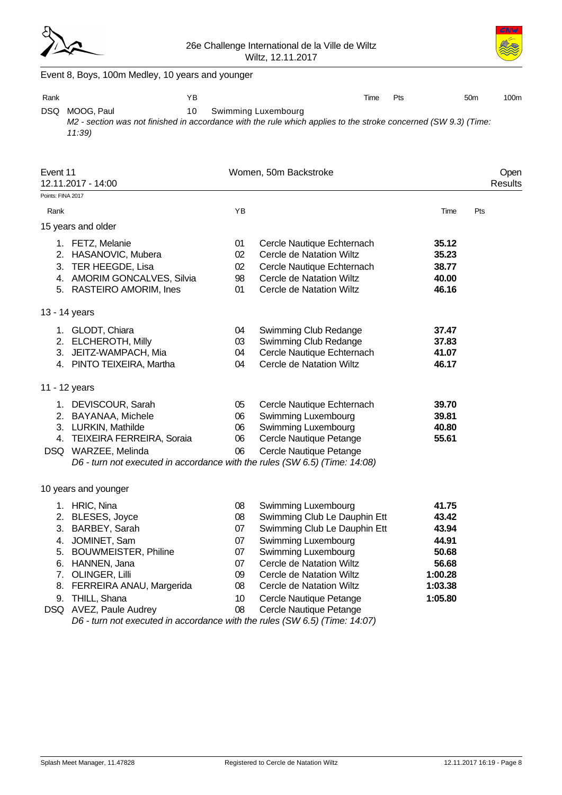



|                   | Event 8, Boys, 100m Medley, 10 years and younger                                                                                             |    |                              |         |                 |                  |
|-------------------|----------------------------------------------------------------------------------------------------------------------------------------------|----|------------------------------|---------|-----------------|------------------|
| Rank              | YB                                                                                                                                           |    | Time                         | Pts     | 50 <sub>m</sub> | 100 <sub>m</sub> |
| DSQ.              | 10<br>MOOG, Paul<br>M2 - section was not finished in accordance with the rule which applies to the stroke concerned (SW 9.3) (Time:<br>11:39 |    | Swimming Luxembourg          |         |                 |                  |
| Event 11          | 12.11.2017 - 14:00                                                                                                                           |    | Women, 50m Backstroke        |         |                 | Open<br>Results  |
| Points: FINA 2017 |                                                                                                                                              |    |                              |         |                 |                  |
| Rank              |                                                                                                                                              | YB |                              | Time    | Pts             |                  |
|                   | 15 years and older                                                                                                                           |    |                              |         |                 |                  |
|                   | 1. FETZ, Melanie                                                                                                                             | 01 | Cercle Nautique Echternach   | 35.12   |                 |                  |
|                   | 2. HASANOVIC, Mubera                                                                                                                         | 02 | Cercle de Natation Wiltz     | 35.23   |                 |                  |
|                   | 3. TER HEEGDE, Lisa                                                                                                                          | 02 | Cercle Nautique Echternach   | 38.77   |                 |                  |
|                   | 4. AMORIM GONCALVES, Silvia                                                                                                                  | 98 | Cercle de Natation Wiltz     | 40.00   |                 |                  |
|                   | 5. RASTEIRO AMORIM, Ines                                                                                                                     | 01 | Cercle de Natation Wiltz     | 46.16   |                 |                  |
|                   | 13 - 14 years                                                                                                                                |    |                              |         |                 |                  |
|                   | 1. GLODT, Chiara                                                                                                                             | 04 | Swimming Club Redange        | 37.47   |                 |                  |
|                   | 2. ELCHEROTH, Milly                                                                                                                          | 03 | Swimming Club Redange        | 37.83   |                 |                  |
|                   | 3. JEITZ-WAMPACH, Mia                                                                                                                        | 04 | Cercle Nautique Echternach   | 41.07   |                 |                  |
|                   | 4. PINTO TEIXEIRA, Martha                                                                                                                    | 04 | Cercle de Natation Wiltz     | 46.17   |                 |                  |
|                   | 11 - 12 years                                                                                                                                |    |                              |         |                 |                  |
|                   | 1. DEVISCOUR, Sarah                                                                                                                          | 05 | Cercle Nautique Echternach   | 39.70   |                 |                  |
|                   | 2. BAYANAA, Michele                                                                                                                          | 06 | Swimming Luxembourg          | 39.81   |                 |                  |
|                   | 3. LURKIN, Mathilde                                                                                                                          | 06 | Swimming Luxembourg          | 40.80   |                 |                  |
|                   | 4. TEIXEIRA FERREIRA, Soraia                                                                                                                 | 06 | Cercle Nautique Petange      | 55.61   |                 |                  |
|                   | DSQ WARZEE, Melinda                                                                                                                          | 06 | Cercle Nautique Petange      |         |                 |                  |
|                   | D6 - turn not executed in accordance with the rules (SW 6.5) (Time: 14:08)                                                                   |    |                              |         |                 |                  |
|                   | 10 years and younger                                                                                                                         |    |                              |         |                 |                  |
|                   | 1. HRIC, Nina                                                                                                                                | 08 | Swimming Luxembourg          | 41.75   |                 |                  |
|                   | 2. BLESES, Joyce                                                                                                                             | 08 | Swimming Club Le Dauphin Ett | 43.42   |                 |                  |
|                   | 3. BARBEY, Sarah                                                                                                                             | 07 | Swimming Club Le Dauphin Ett | 43.94   |                 |                  |
| 4.                | JOMINET, Sam                                                                                                                                 | 07 | Swimming Luxembourg          | 44.91   |                 |                  |
| 5.                | <b>BOUWMEISTER, Philine</b>                                                                                                                  | 07 | Swimming Luxembourg          | 50.68   |                 |                  |
| 6.                | HANNEN, Jana                                                                                                                                 | 07 | Cercle de Natation Wiltz     | 56.68   |                 |                  |
| 7.                | OLINGER, Lilli                                                                                                                               | 09 | Cercle de Natation Wiltz     | 1:00.28 |                 |                  |
| 8.                | FERREIRA ANAU, Margerida                                                                                                                     | 08 | Cercle de Natation Wiltz     | 1:03.38 |                 |                  |
| 9.                | THILL, Shana                                                                                                                                 | 10 | Cercle Nautique Petange      | 1:05.80 |                 |                  |
|                   | DSQ AVEZ, Paule Audrey                                                                                                                       | 08 | Cercle Nautique Petange      |         |                 |                  |
|                   | D6 - turn not executed in accordance with the rules (SW 6.5) (Time: 14:07)                                                                   |    |                              |         |                 |                  |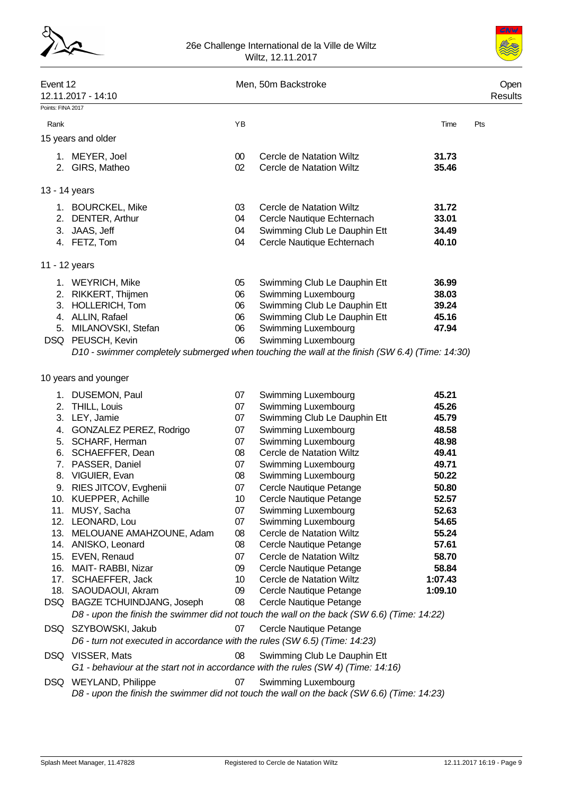



| Event 12          | 12.11.2017 - 14:10                                                                         |                 | Men, 50m Backstroke                                  |                | Open<br>Results |
|-------------------|--------------------------------------------------------------------------------------------|-----------------|------------------------------------------------------|----------------|-----------------|
| Points: FINA 2017 |                                                                                            |                 |                                                      |                |                 |
| Rank              |                                                                                            | YB              |                                                      | Time           | Pts             |
|                   | 15 years and older                                                                         |                 |                                                      |                |                 |
|                   |                                                                                            |                 |                                                      |                |                 |
|                   | 1. MEYER, Joel<br>2. GIRS, Matheo                                                          | 00<br>02        | Cercle de Natation Wiltz<br>Cercle de Natation Wiltz | 31.73<br>35.46 |                 |
|                   |                                                                                            |                 |                                                      |                |                 |
|                   | 13 - 14 years                                                                              |                 |                                                      |                |                 |
|                   | 1. BOURCKEL, Mike                                                                          | 03              | Cercle de Natation Wiltz                             | 31.72          |                 |
|                   | 2. DENTER, Arthur                                                                          | 04              | Cercle Nautique Echternach                           | 33.01          |                 |
|                   | 3. JAAS, Jeff                                                                              | 04              | Swimming Club Le Dauphin Ett                         | 34.49          |                 |
|                   | 4. FETZ, Tom                                                                               | 04              | Cercle Nautique Echternach                           | 40.10          |                 |
|                   | 11 - 12 years                                                                              |                 |                                                      |                |                 |
|                   | 1. WEYRICH, Mike                                                                           | 05              | Swimming Club Le Dauphin Ett                         | 36.99          |                 |
|                   | 2. RIKKERT, Thijmen                                                                        | 06              | Swimming Luxembourg                                  | 38.03          |                 |
|                   | 3. HOLLERICH, Tom                                                                          | 06              | Swimming Club Le Dauphin Ett                         | 39.24          |                 |
|                   | 4. ALLIN, Rafael                                                                           | 06              | Swimming Club Le Dauphin Ett                         | 45.16          |                 |
|                   | 5. MILANOVSKI, Stefan                                                                      | 06              | Swimming Luxembourg                                  | 47.94          |                 |
|                   | DSQ PEUSCH, Kevin                                                                          | 06              | Swimming Luxembourg                                  |                |                 |
|                   | 10 years and younger                                                                       |                 |                                                      |                |                 |
|                   | 1. DUSEMON, Paul                                                                           | 07              | Swimming Luxembourg                                  | 45.21          |                 |
|                   | 2. THILL, Louis                                                                            | 07              | Swimming Luxembourg                                  | 45.26          |                 |
|                   | 3. LEY, Jamie                                                                              | 07              | Swimming Club Le Dauphin Ett                         | 45.79          |                 |
|                   | 4. GONZALEZ PEREZ, Rodrigo                                                                 | 07              | Swimming Luxembourg                                  | 48.58          |                 |
|                   | 5. SCHARF, Herman                                                                          | 07              | Swimming Luxembourg                                  | 48.98          |                 |
|                   | 6. SCHAEFFER, Dean                                                                         | 08              | Cercle de Natation Wiltz                             | 49.41          |                 |
|                   | 7. PASSER, Daniel                                                                          | 07              | Swimming Luxembourg                                  | 49.71          |                 |
|                   | 8. VIGUIER, Evan                                                                           | 08              | Swimming Luxembourg                                  | 50.22          |                 |
|                   | 9. RIES JITCOV, Evghenii                                                                   | 07              | Cercle Nautique Petange                              | 50.80          |                 |
|                   | 10. KUEPPER, Achille                                                                       | 10 <sup>°</sup> | Cercle Nautique Petange                              | 52.57<br>52.63 |                 |
|                   | 11. MUSY, Sacha<br>12. LEONARD, Lou                                                        | 07<br>07        | Swimming Luxembourg<br>Swimming Luxembourg           | 54.65          |                 |
|                   | 13. MELOUANE AMAHZOUNE, Adam                                                               | 08              | Cercle de Natation Wiltz                             | 55.24          |                 |
|                   | 14. ANISKO, Leonard                                                                        | 08              | Cercle Nautique Petange                              | 57.61          |                 |
|                   | 15. EVEN, Renaud                                                                           | 07              | Cercle de Natation Wiltz                             | 58.70          |                 |
|                   | 16. MAIT-RABBI, Nizar                                                                      | 09              | Cercle Nautique Petange                              | 58.84          |                 |
|                   | 17. SCHAEFFER, Jack                                                                        | 10              | Cercle de Natation Wiltz                             | 1:07.43        |                 |
|                   | 18. SAOUDAOUI, Akram                                                                       | 09              | Cercle Nautique Petange                              | 1:09.10        |                 |
|                   | DSQ BAGZE TCHUINDJANG, Joseph                                                              | 08              | Cercle Nautique Petange                              |                |                 |
|                   | D8 - upon the finish the swimmer did not touch the wall on the back (SW 6.6) (Time: 14:22) |                 |                                                      |                |                 |
|                   | DSQ SZYBOWSKI, Jakub                                                                       | 07              | Cercle Nautique Petange                              |                |                 |
|                   | D6 - turn not executed in accordance with the rules (SW 6.5) (Time: 14:23)                 |                 |                                                      |                |                 |
|                   | DSQ VISSER, Mats                                                                           | 08              | Swimming Club Le Dauphin Ett                         |                |                 |
|                   | G1 - behaviour at the start not in accordance with the rules (SW 4) (Time: 14:16)          |                 |                                                      |                |                 |
|                   | DSQ WEYLAND, Philippe                                                                      | 07              | Swimming Luxembourg                                  |                |                 |

*D8 - upon the finish the swimmer did not touch the wall on the back (SW 6.6) (Time: 14:23)*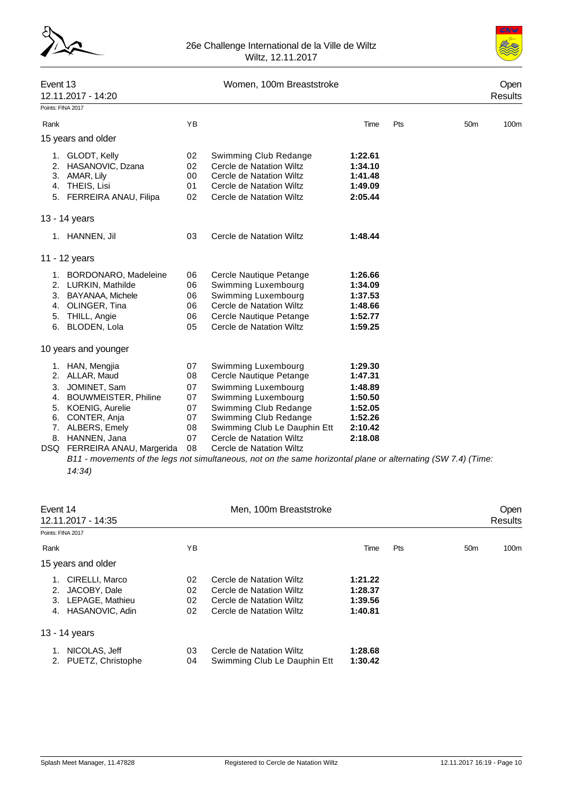



| Event 13<br>12.11.2017 - 14:20                                                                                                                                            |                                              | Women, 100m Breaststroke                                                                                                                                                                                   | <b>Results</b>                                                                       | Open |                 |      |
|---------------------------------------------------------------------------------------------------------------------------------------------------------------------------|----------------------------------------------|------------------------------------------------------------------------------------------------------------------------------------------------------------------------------------------------------------|--------------------------------------------------------------------------------------|------|-----------------|------|
| Points: FINA 2017                                                                                                                                                         |                                              |                                                                                                                                                                                                            |                                                                                      |      |                 |      |
| Rank                                                                                                                                                                      | YB                                           |                                                                                                                                                                                                            | Time                                                                                 | Pts  | 50 <sub>m</sub> | 100m |
| 15 years and older                                                                                                                                                        |                                              |                                                                                                                                                                                                            |                                                                                      |      |                 |      |
| 1. GLODT, Kelly<br>HASANOVIC, Dzana<br>2.<br>3.<br>AMAR, Lily<br>THEIS, Lisi<br>4.<br>5. FERREIRA ANAU, Filipa                                                            | 02<br>02<br>00<br>01<br>02                   | Swimming Club Redange<br>Cercle de Natation Wiltz<br>Cercle de Natation Wiltz<br>Cercle de Natation Wiltz<br>Cercle de Natation Wiltz                                                                      | 1:22.61<br>1:34.10<br>1:41.48<br>1:49.09<br>2:05.44                                  |      |                 |      |
| 13 - 14 years                                                                                                                                                             |                                              |                                                                                                                                                                                                            |                                                                                      |      |                 |      |
| 1. HANNEN, Jil                                                                                                                                                            | 03                                           | Cercle de Natation Wiltz                                                                                                                                                                                   | 1:48.44                                                                              |      |                 |      |
| 11 - 12 years                                                                                                                                                             |                                              |                                                                                                                                                                                                            |                                                                                      |      |                 |      |
| 1. BORDONARO, Madeleine<br>2. LURKIN, Mathilde<br>3. BAYANAA, Michele<br>OLINGER, Tina<br>4.<br>5. THILL, Angie<br>6. BLODEN, Lola                                        | 06<br>06<br>06<br>06<br>06<br>05             | Cercle Nautique Petange<br>Swimming Luxembourg<br>Swimming Luxembourg<br>Cercle de Natation Wiltz<br>Cercle Nautique Petange<br>Cercle de Natation Wiltz                                                   | 1:26.66<br>1:34.09<br>1:37.53<br>1:48.66<br>1:52.77<br>1:59.25                       |      |                 |      |
| 10 years and younger                                                                                                                                                      |                                              |                                                                                                                                                                                                            |                                                                                      |      |                 |      |
| 1. HAN, Mengjia<br>2. ALLAR, Maud<br>3. JOMINET, Sam<br><b>BOUWMEISTER, Philine</b><br>4.<br>5. KOENIG, Aurelie<br>6. CONTER, Anja<br>7. ALBERS, Emely<br>8. HANNEN, Jana | 07<br>08<br>07<br>07<br>07<br>07<br>08<br>07 | Swimming Luxembourg<br>Cercle Nautique Petange<br>Swimming Luxembourg<br>Swimming Luxembourg<br>Swimming Club Redange<br>Swimming Club Redange<br>Swimming Club Le Dauphin Ett<br>Cercle de Natation Wiltz | 1:29.30<br>1:47.31<br>1:48.89<br>1:50.50<br>1:52.05<br>1:52.26<br>2:10.42<br>2:18.08 |      |                 |      |
| FERREIRA ANAU, Margerida<br>DSQ                                                                                                                                           | 08                                           | Cercle de Natation Wiltz                                                                                                                                                                                   |                                                                                      |      |                 |      |

*B11 - movements of the legs not simultaneous, not on the same horizontal plane or alternating (SW 7.4) (Time: 14:34)*

| Event 14             | 12.11.2017 - 14:35                                                   |                      | Men, 100m Breaststroke                                                                                       |                                          |     |                 | <b>Open</b><br><b>Results</b> |
|----------------------|----------------------------------------------------------------------|----------------------|--------------------------------------------------------------------------------------------------------------|------------------------------------------|-----|-----------------|-------------------------------|
|                      | Points: FINA 2017                                                    |                      |                                                                                                              |                                          |     |                 |                               |
| Rank                 |                                                                      | YB.                  |                                                                                                              | Time                                     | Pts | 50 <sub>m</sub> | 100m                          |
|                      | 15 years and older                                                   |                      |                                                                                                              |                                          |     |                 |                               |
| 1.<br>2.<br>3.<br>4. | CIRELLI, Marco<br>JACOBY, Dale<br>LEPAGE, Mathieu<br>HASANOVIC, Adin | 02<br>02<br>02<br>02 | Cercle de Natation Wiltz<br>Cercle de Natation Wiltz<br>Cercle de Natation Wiltz<br>Cercle de Natation Wiltz | 1:21.22<br>1:28.37<br>1:39.56<br>1:40.81 |     |                 |                               |
|                      | 13 - 14 years                                                        |                      |                                                                                                              |                                          |     |                 |                               |
| 1.<br>2.             | NICOLAS, Jeff<br>PUETZ, Christophe                                   | 03<br>04             | Cercle de Natation Wiltz<br>Swimming Club Le Dauphin Ett                                                     | 1:28.68<br>1:30.42                       |     |                 |                               |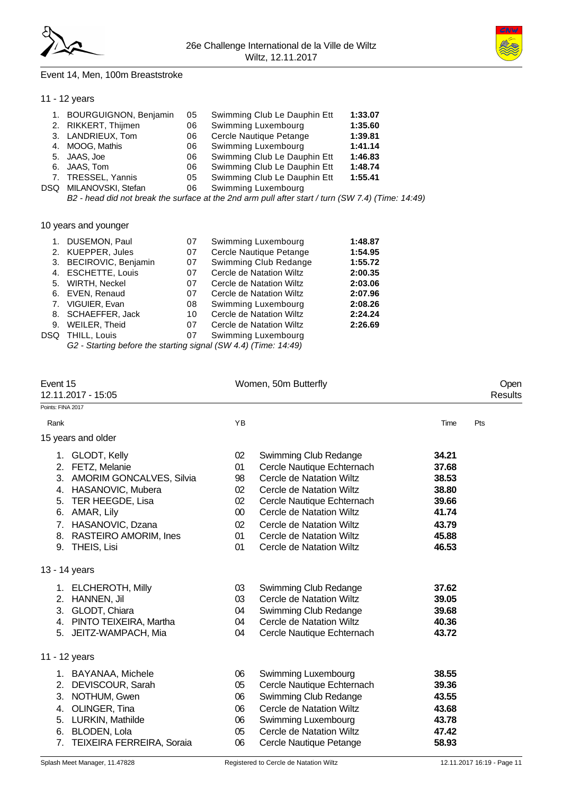



### Event 14, Men, 100m Breaststroke

# 11 - 12 years

| 1. BOURGUIGNON, Benjamin | 05 | Swimming Club Le Dauphin Ett                                                                                    | 1:33.07 |
|--------------------------|----|-----------------------------------------------------------------------------------------------------------------|---------|
| 2. RIKKERT, Thijmen      | 06 | Swimming Luxembourg                                                                                             | 1:35.60 |
| 3. LANDRIEUX, Tom        | 06 | Cercle Nautique Petange                                                                                         | 1:39.81 |
| 4. MOOG, Mathis          | 06 | Swimming Luxembourg                                                                                             | 1:41.14 |
| 5. JAAS, Joe             | 06 | Swimming Club Le Dauphin Ett                                                                                    | 1:46.83 |
| 6. JAAS, Tom             | 06 | Swimming Club Le Dauphin Ett                                                                                    | 1:48.74 |
| 7. TRESSEL, Yannis       | 05 | Swimming Club Le Dauphin Ett                                                                                    | 1:55.41 |
| DSQ MILANOVSKI, Stefan   | 06 | Swimming Luxembourg                                                                                             |         |
|                          |    | $D2 -$ begal did not begal the august as at the Onal sense will after atout $/$ turn $/$ CIA/ $7$ A) $/$ Times: |         |

*B2 - head did not break the surface at the 2nd arm pull after start / turn (SW 7.4) (Time: 14:49)*

# 10 years and younger

|      | 1. DUSEMON, Paul                                                              | 07 | Swimming Luxembourg      | 1:48.87 |
|------|-------------------------------------------------------------------------------|----|--------------------------|---------|
|      | 2. KUEPPER, Jules                                                             | 07 | Cercle Nautique Petange  | 1:54.95 |
|      | 3. BECIROVIC, Benjamin                                                        | 07 | Swimming Club Redange    | 1:55.72 |
|      | 4. ESCHETTE, Louis                                                            | 07 | Cercle de Natation Wiltz | 2:00.35 |
|      | 5. WIRTH, Neckel                                                              | 07 | Cercle de Natation Wiltz | 2:03.06 |
|      | 6. EVEN, Renaud                                                               | 07 | Cercle de Natation Wiltz | 2:07.96 |
|      | 7. VIGUIER, Evan                                                              | 08 | Swimming Luxembourg      | 2:08.26 |
|      | 8. SCHAEFFER, Jack                                                            | 10 | Cercle de Natation Wiltz | 2:24.24 |
|      | 9. WEILER, Theid                                                              | 07 | Cercle de Natation Wiltz | 2:26.69 |
| DSQ. | THILL, Louis                                                                  | 07 | Swimming Luxembourg      |         |
|      | $C2$ Starting before the eterting eigenal $(911/4.4)$ $(T_{\rm im}$ $(14.40)$ |    |                          |         |

*G2 - Starting before the starting signal (SW 4.4) (Time: 14:49)*

| Event 15          | 12.11.2017 - 15:05                                                                                                                                                                    |                                                  | Women, 50m Butterfly                                                                                                                                                                                                          |                                                                      | Open<br><b>Results</b> |
|-------------------|---------------------------------------------------------------------------------------------------------------------------------------------------------------------------------------|--------------------------------------------------|-------------------------------------------------------------------------------------------------------------------------------------------------------------------------------------------------------------------------------|----------------------------------------------------------------------|------------------------|
| Points: FINA 2017 |                                                                                                                                                                                       |                                                  |                                                                                                                                                                                                                               |                                                                      |                        |
| Rank              |                                                                                                                                                                                       | YB                                               |                                                                                                                                                                                                                               | Time                                                                 | Pts                    |
|                   | 15 years and older                                                                                                                                                                    |                                                  |                                                                                                                                                                                                                               |                                                                      |                        |
|                   | 1. GLODT, Kelly<br>2. FETZ, Melanie<br>3. AMORIM GONCALVES, Silvia<br>4. HASANOVIC, Mubera<br>5. TER HEEGDE, Lisa<br>6. AMAR, Lily<br>7. HASANOVIC, Dzana<br>8. RASTEIRO AMORIM, Ines | 02<br>01<br>98<br>02<br>02<br>$00\,$<br>02<br>01 | Swimming Club Redange<br>Cercle Nautique Echternach<br>Cercle de Natation Wiltz<br>Cercle de Natation Wiltz<br>Cercle Nautique Echternach<br>Cercle de Natation Wiltz<br>Cercle de Natation Wiltz<br>Cercle de Natation Wiltz | 34.21<br>37.68<br>38.53<br>38.80<br>39.66<br>41.74<br>43.79<br>45.88 |                        |
|                   | 9. THEIS, Lisi                                                                                                                                                                        | 01                                               | Cercle de Natation Wiltz                                                                                                                                                                                                      | 46.53                                                                |                        |
|                   | 13 - 14 years                                                                                                                                                                         |                                                  |                                                                                                                                                                                                                               |                                                                      |                        |
| 3.                | 1. ELCHEROTH, Milly<br>2. HANNEN, Jil<br>GLODT, Chiara<br>4. PINTO TEIXEIRA, Martha<br>5. JEITZ-WAMPACH, Mia                                                                          | 03<br>03<br>04<br>04<br>04                       | Swimming Club Redange<br>Cercle de Natation Wiltz<br>Swimming Club Redange<br>Cercle de Natation Wiltz<br>Cercle Nautique Echternach                                                                                          | 37.62<br>39.05<br>39.68<br>40.36<br>43.72                            |                        |
|                   | 11 - 12 years                                                                                                                                                                         |                                                  |                                                                                                                                                                                                                               |                                                                      |                        |
| 3.<br>4.          | 1. BAYANAA, Michele<br>2. DEVISCOUR, Sarah<br>NOTHUM, Gwen<br>OLINGER, Tina<br>5. LURKIN, Mathilde<br>6. BLODEN, Lola<br>7. TEIXEIRA FERREIRA, Soraia                                 | 06<br>05<br>06<br>06<br>06<br>05<br>06           | Swimming Luxembourg<br>Cercle Nautique Echternach<br>Swimming Club Redange<br>Cercle de Natation Wiltz<br>Swimming Luxembourg<br>Cercle de Natation Wiltz<br>Cercle Nautique Petange                                          | 38.55<br>39.36<br>43.55<br>43.68<br>43.78<br>47.42<br>58.93          |                        |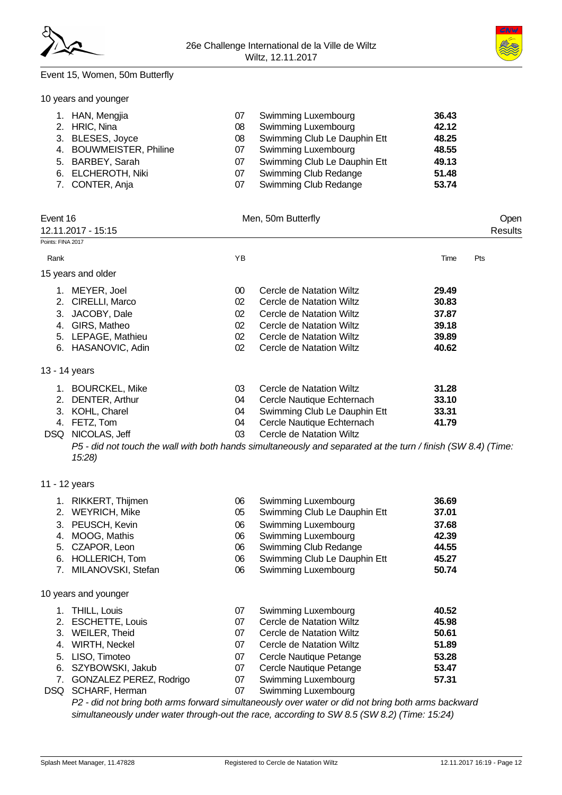## Event 15, Women, 50m Butterfly

10 years and younger

| 1. HAN, Mengjia         | 07 | <b>Swimming Luxembourg</b>   | 36.43 |
|-------------------------|----|------------------------------|-------|
| 2. HRIC, Nina           | 08 | <b>Swimming Luxembourg</b>   | 42.12 |
| 3. BLESES, Joyce        | 08 | Swimming Club Le Dauphin Ett | 48.25 |
| 4. BOUWMEISTER, Philine | 07 | Swimming Luxembourg          | 48.55 |
| 5. BARBEY, Sarah        | 07 | Swimming Club Le Dauphin Ett | 49.13 |
| 6. ELCHEROTH, Niki      | 07 | <b>Swimming Club Redange</b> | 51.48 |
| 7. CONTER, Anja         | 07 | <b>Swimming Club Redange</b> | 53.74 |

| Event 16<br>Points: FINA 2017 | 12.11.2017 - 15:15         |        | Men, 50m Butterfly                                                                                            |       | Open<br>Results |
|-------------------------------|----------------------------|--------|---------------------------------------------------------------------------------------------------------------|-------|-----------------|
|                               |                            |        |                                                                                                               |       |                 |
| Rank                          |                            | ΥB     |                                                                                                               | Time  | Pts             |
|                               | 15 years and older         |        |                                                                                                               |       |                 |
|                               | 1. MEYER, Joel             | $00\,$ | Cercle de Natation Wiltz                                                                                      | 29.49 |                 |
|                               | 2. CIRELLI, Marco          | 02     | Cercle de Natation Wiltz                                                                                      | 30.83 |                 |
|                               | 3. JACOBY, Dale            | 02     | Cercle de Natation Wiltz                                                                                      | 37.87 |                 |
|                               | 4. GIRS, Matheo            | 02     | Cercle de Natation Wiltz                                                                                      | 39.18 |                 |
|                               | 5. LEPAGE, Mathieu         | 02     | Cercle de Natation Wiltz                                                                                      | 39.89 |                 |
|                               | 6. HASANOVIC, Adin         | 02     | Cercle de Natation Wiltz                                                                                      | 40.62 |                 |
|                               | 13 - 14 years              |        |                                                                                                               |       |                 |
|                               | 1. BOURCKEL, Mike          | 03     | Cercle de Natation Wiltz                                                                                      | 31.28 |                 |
|                               | 2. DENTER, Arthur          | 04     | Cercle Nautique Echternach                                                                                    | 33.10 |                 |
|                               | 3. KOHL, Charel            | 04     | Swimming Club Le Dauphin Ett                                                                                  | 33.31 |                 |
|                               | 4. FETZ, Tom               | 04     | Cercle Nautique Echternach                                                                                    | 41.79 |                 |
|                               | DSQ NICOLAS, Jeff          | 03     | Cercle de Natation Wiltz                                                                                      |       |                 |
|                               | 15:28                      |        | P5 - did not touch the wall with both hands simultaneously and separated at the turn / finish (SW 8.4) (Time: |       |                 |
|                               | 11 - 12 years              |        |                                                                                                               |       |                 |
|                               | 1. RIKKERT, Thijmen        | 06     | Swimming Luxembourg                                                                                           | 36.69 |                 |
|                               | 2. WEYRICH, Mike           | 05     | Swimming Club Le Dauphin Ett                                                                                  | 37.01 |                 |
|                               | 3. PEUSCH, Kevin           | 06     | Swimming Luxembourg                                                                                           | 37.68 |                 |
|                               | 4. MOOG, Mathis            | 06     | Swimming Luxembourg                                                                                           | 42.39 |                 |
|                               | 5. CZAPOR, Leon            | 06     | Swimming Club Redange                                                                                         | 44.55 |                 |
|                               | 6. HOLLERICH, Tom          | 06     | Swimming Club Le Dauphin Ett                                                                                  | 45.27 |                 |
|                               | 7. MILANOVSKI, Stefan      | 06     | Swimming Luxembourg                                                                                           | 50.74 |                 |
|                               | 10 years and younger       |        |                                                                                                               |       |                 |
|                               | 1. THILL, Louis            | 07     | Swimming Luxembourg                                                                                           | 40.52 |                 |
|                               | 2. ESCHETTE, Louis         | 07     | Cercle de Natation Wiltz                                                                                      | 45.98 |                 |
|                               | 3. WEILER, Theid           | 07     | Cercle de Natation Wiltz                                                                                      | 50.61 |                 |
|                               | 4. WIRTH, Neckel           | 07     | Cercle de Natation Wiltz                                                                                      | 51.89 |                 |
|                               | 5. LISO, Timoteo           | 07     | Cercle Nautique Petange                                                                                       | 53.28 |                 |
|                               | 6. SZYBOWSKI, Jakub        | 07     | Cercle Nautique Petange                                                                                       | 53.47 |                 |
|                               | 7. GONZALEZ PEREZ, Rodrigo | 07     | Swimming Luxembourg                                                                                           | 57.31 |                 |
|                               | DSQ SCHARF, Herman         | 07     | Swimming Luxembourg                                                                                           |       |                 |

*P2 - did not bring both arms forward simultaneously over water or did not bring both arms backward simultaneously under water through-out the race, according to SW 8.5 (SW 8.2) (Time: 15:24)*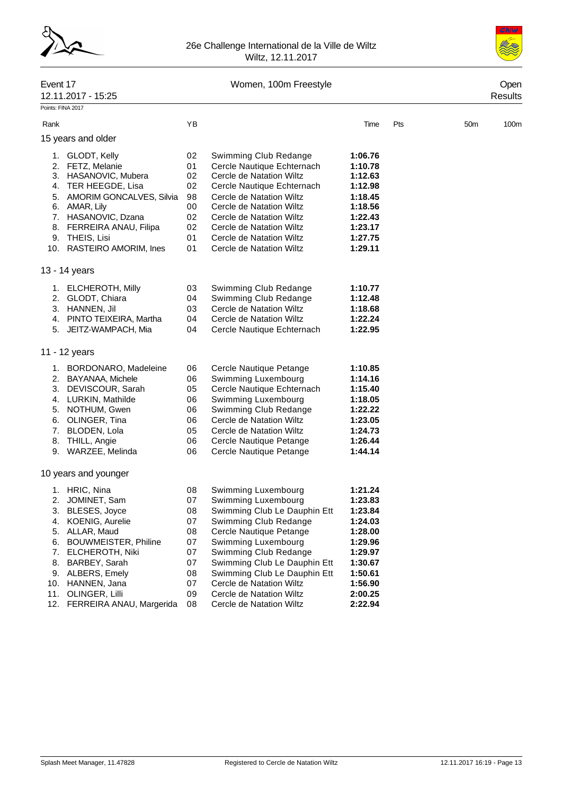



#### Event 17 Communication of the UV Women, 100m Freestyle Communication of the Open

|                             | 12.11.2017 - 15:25                                                                                                                                                                                                                   |                                                                |                                                                                                                                                                                                                                                                                                        |                                                                                                                       |     |     | Results          |
|-----------------------------|--------------------------------------------------------------------------------------------------------------------------------------------------------------------------------------------------------------------------------------|----------------------------------------------------------------|--------------------------------------------------------------------------------------------------------------------------------------------------------------------------------------------------------------------------------------------------------------------------------------------------------|-----------------------------------------------------------------------------------------------------------------------|-----|-----|------------------|
|                             | Points: FINA 2017                                                                                                                                                                                                                    |                                                                |                                                                                                                                                                                                                                                                                                        |                                                                                                                       |     |     |                  |
| Rank                        |                                                                                                                                                                                                                                      | YB                                                             |                                                                                                                                                                                                                                                                                                        | Time                                                                                                                  | Pts | 50m | 100 <sub>m</sub> |
|                             | 15 years and older                                                                                                                                                                                                                   |                                                                |                                                                                                                                                                                                                                                                                                        |                                                                                                                       |     |     |                  |
|                             | 1. GLODT, Kelly<br>2. FETZ, Melanie<br>3. HASANOVIC, Mubera<br>4. TER HEEGDE, Lisa<br>5. AMORIM GONCALVES, Silvia<br>6. AMAR, Lily<br>7. HASANOVIC, Dzana<br>8. FERREIRA ANAU, Filipa<br>9. THEIS, Lisi<br>10. RASTEIRO AMORIM, Ines | 02<br>01<br>02<br>02<br>98<br>00<br>02<br>02<br>01<br>01       | Swimming Club Redange<br>Cercle Nautique Echternach<br>Cercle de Natation Wiltz<br>Cercle Nautique Echternach<br>Cercle de Natation Wiltz<br>Cercle de Natation Wiltz<br>Cercle de Natation Wiltz<br>Cercle de Natation Wiltz<br>Cercle de Natation Wiltz<br>Cercle de Natation Wiltz                  | 1:06.76<br>1:10.78<br>1:12.63<br>1:12.98<br>1:18.45<br>1:18.56<br>1:22.43<br>1:23.17<br>1:27.75<br>1:29.11            |     |     |                  |
|                             | 13 - 14 years                                                                                                                                                                                                                        |                                                                |                                                                                                                                                                                                                                                                                                        |                                                                                                                       |     |     |                  |
|                             | 1. ELCHEROTH, Milly<br>2. GLODT, Chiara<br>3. HANNEN, Jil<br>4. PINTO TEIXEIRA, Martha<br>5. JEITZ-WAMPACH, Mia                                                                                                                      | 03<br>04<br>03<br>04<br>04                                     | Swimming Club Redange<br>Swimming Club Redange<br>Cercle de Natation Wiltz<br>Cercle de Natation Wiltz<br>Cercle Nautique Echternach                                                                                                                                                                   | 1:10.77<br>1:12.48<br>1:18.68<br>1:22.24<br>1:22.95                                                                   |     |     |                  |
|                             | 11 - 12 years                                                                                                                                                                                                                        |                                                                |                                                                                                                                                                                                                                                                                                        |                                                                                                                       |     |     |                  |
|                             | 1. BORDONARO, Madeleine<br>2. BAYANAA, Michele<br>3. DEVISCOUR, Sarah<br>4. LURKIN, Mathilde<br>5. NOTHUM, Gwen<br>6. OLINGER, Tina<br>7. BLODEN, Lola<br>8. THILL, Angie<br>9. WARZEE, Melinda                                      | 06<br>06<br>05<br>06<br>06<br>06<br>05<br>06<br>06             | Cercle Nautique Petange<br>Swimming Luxembourg<br>Cercle Nautique Echternach<br>Swimming Luxembourg<br>Swimming Club Redange<br>Cercle de Natation Wiltz<br>Cercle de Natation Wiltz<br>Cercle Nautique Petange<br>Cercle Nautique Petange                                                             | 1:10.85<br>1:14.16<br>1:15.40<br>1:18.05<br>1:22.22<br>1:23.05<br>1:24.73<br>1:26.44<br>1:44.14                       |     |     |                  |
|                             | 10 years and younger                                                                                                                                                                                                                 |                                                                |                                                                                                                                                                                                                                                                                                        |                                                                                                                       |     |     |                  |
| 5.<br>6.<br>7.<br>8.<br>11. | 1. HRIC, Nina<br>2. JOMINET, Sam<br>3. BLESES, Joyce<br>4. KOENIG, Aurelie<br>ALLAR, Maud<br><b>BOUWMEISTER, Philine</b><br>ELCHEROTH, Niki<br>BARBEY, Sarah<br>9. ALBERS, Emely<br>10. HANNEN, Jana<br>OLINGER, Lilli               | 08<br>07<br>08<br>07<br>08<br>07<br>07<br>07<br>08<br>07<br>09 | Swimming Luxembourg<br>Swimming Luxembourg<br>Swimming Club Le Dauphin Ett<br>Swimming Club Redange<br>Cercle Nautique Petange<br>Swimming Luxembourg<br>Swimming Club Redange<br>Swimming Club Le Dauphin Ett<br>Swimming Club Le Dauphin Ett<br>Cercle de Natation Wiltz<br>Cercle de Natation Wiltz | 1:21.24<br>1:23.83<br>1:23.84<br>1:24.03<br>1:28.00<br>1:29.96<br>1:29.97<br>1:30.67<br>1:50.61<br>1:56.90<br>2:00.25 |     |     |                  |

12. FERREIRA ANAU, Margerida 08 Cercle de Natation Wiltz **2:22.94**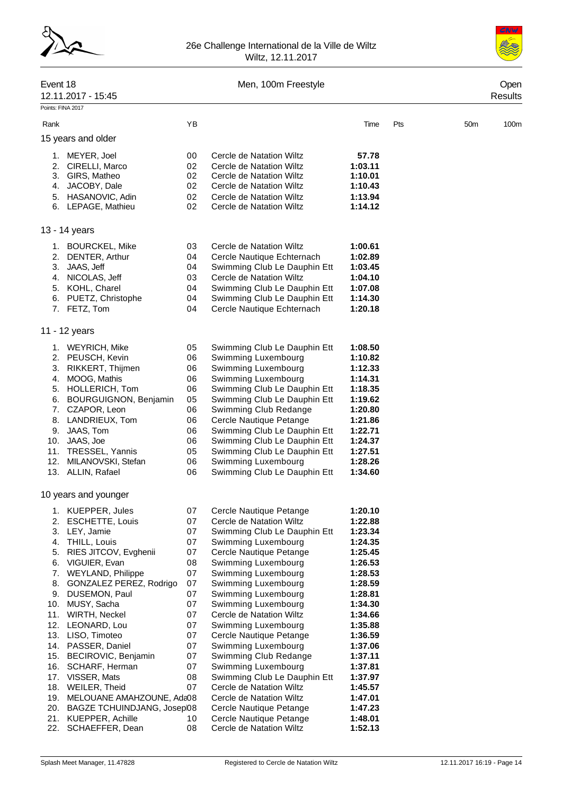



# Event 18 Men, 100m Freestyle Open

| EVUIL IO                           |    | <b>IVIBII, TUUTII FIBBSIYIB</b> |         |     |                 | Open    |
|------------------------------------|----|---------------------------------|---------|-----|-----------------|---------|
| 12.11.2017 - 15:45                 |    |                                 |         |     |                 | Results |
| Points: FINA 2017                  |    |                                 |         |     |                 |         |
| Rank                               | YB |                                 | Time    | Pts | 50 <sub>m</sub> | 100m    |
| 15 years and older                 |    |                                 |         |     |                 |         |
|                                    |    |                                 |         |     |                 |         |
| 1. MEYER, Joel                     | 00 | Cercle de Natation Wiltz        | 57.78   |     |                 |         |
| 2. CIRELLI, Marco                  | 02 | Cercle de Natation Wiltz        | 1:03.11 |     |                 |         |
| 3. GIRS, Matheo                    | 02 | Cercle de Natation Wiltz        | 1:10.01 |     |                 |         |
| 4. JACOBY, Dale                    | 02 | Cercle de Natation Wiltz        | 1:10.43 |     |                 |         |
| 5. HASANOVIC, Adin                 | 02 | Cercle de Natation Wiltz        | 1:13.94 |     |                 |         |
| 6. LEPAGE, Mathieu                 | 02 | Cercle de Natation Wiltz        | 1:14.12 |     |                 |         |
| 13 - 14 years                      |    |                                 |         |     |                 |         |
| 1. BOURCKEL, Mike                  | 03 | Cercle de Natation Wiltz        | 1:00.61 |     |                 |         |
| 2. DENTER, Arthur                  | 04 | Cercle Nautique Echternach      | 1:02.89 |     |                 |         |
| 3. JAAS, Jeff                      | 04 | Swimming Club Le Dauphin Ett    | 1:03.45 |     |                 |         |
| 4. NICOLAS, Jeff                   | 03 | Cercle de Natation Wiltz        | 1:04.10 |     |                 |         |
| 5. KOHL, Charel                    | 04 | Swimming Club Le Dauphin Ett    | 1:07.08 |     |                 |         |
| 6. PUETZ, Christophe               | 04 | Swimming Club Le Dauphin Ett    | 1:14.30 |     |                 |         |
| 7. FETZ, Tom                       | 04 | Cercle Nautique Echternach      | 1:20.18 |     |                 |         |
| 11 - 12 years                      |    |                                 |         |     |                 |         |
| 1. WEYRICH, Mike                   | 05 | Swimming Club Le Dauphin Ett    | 1:08.50 |     |                 |         |
| 2. PEUSCH, Kevin                   | 06 | Swimming Luxembourg             | 1:10.82 |     |                 |         |
| 3. RIKKERT, Thijmen                | 06 | Swimming Luxembourg             | 1:12.33 |     |                 |         |
| 4. MOOG, Mathis                    | 06 | Swimming Luxembourg             | 1:14.31 |     |                 |         |
| 5. HOLLERICH, Tom                  | 06 | Swimming Club Le Dauphin Ett    | 1:18.35 |     |                 |         |
| <b>BOURGUIGNON, Benjamin</b><br>6. | 05 | Swimming Club Le Dauphin Ett    | 1:19.62 |     |                 |         |
| 7. CZAPOR, Leon                    | 06 | Swimming Club Redange           | 1:20.80 |     |                 |         |
| 8. LANDRIEUX, Tom                  | 06 | Cercle Nautique Petange         | 1:21.86 |     |                 |         |
| 9. JAAS, Tom                       | 06 | Swimming Club Le Dauphin Ett    | 1:22.71 |     |                 |         |
| 10. JAAS, Joe                      | 06 | Swimming Club Le Dauphin Ett    | 1:24.37 |     |                 |         |
| 11. TRESSEL, Yannis                | 05 | Swimming Club Le Dauphin Ett    | 1:27.51 |     |                 |         |
| 12. MILANOVSKI, Stefan             | 06 | Swimming Luxembourg             | 1:28.26 |     |                 |         |
| 13. ALLIN, Rafael                  | 06 | Swimming Club Le Dauphin Ett    | 1:34.60 |     |                 |         |
| 10 years and younger               |    |                                 |         |     |                 |         |
| KUEPPER, Jules                     | 07 | Cercle Nautique Petange         | 1:20.10 |     |                 |         |
| 2.<br><b>ESCHETTE, Louis</b>       | 07 | Cercle de Natation Wiltz        | 1:22.88 |     |                 |         |
| 3. LEY, Jamie                      | 07 | Swimming Club Le Dauphin Ett    | 1:23.34 |     |                 |         |
| 4. THILL, Louis                    | 07 | Swimming Luxembourg             | 1:24.35 |     |                 |         |
| RIES JITCOV, Evghenii<br>5.        | 07 | Cercle Nautique Petange         | 1:25.45 |     |                 |         |
| VIGUIER, Evan<br>6.                | 08 | Swimming Luxembourg             | 1:26.53 |     |                 |         |
| <b>WEYLAND, Philippe</b><br>7.     | 07 | Swimming Luxembourg             | 1:28.53 |     |                 |         |
| GONZALEZ PEREZ, Rodrigo<br>8.      | 07 | Swimming Luxembourg             | 1:28.59 |     |                 |         |
| 9. DUSEMON, Paul                   | 07 | Swimming Luxembourg             | 1:28.81 |     |                 |         |
| 10. MUSY, Sacha                    | 07 | Swimming Luxembourg             | 1:34.30 |     |                 |         |
| 11. WIRTH, Neckel                  | 07 | Cercle de Natation Wiltz        | 1:34.66 |     |                 |         |
| 12. LEONARD, Lou                   | 07 | Swimming Luxembourg             | 1:35.88 |     |                 |         |
| 13. LISO, Timoteo                  | 07 | Cercle Nautique Petange         | 1:36.59 |     |                 |         |
| 14. PASSER, Daniel                 | 07 | Swimming Luxembourg             | 1:37.06 |     |                 |         |
| 15. BECIROVIC, Benjamin            | 07 | Swimming Club Redange           | 1:37.11 |     |                 |         |
| 16. SCHARF, Herman                 | 07 | Swimming Luxembourg             | 1:37.81 |     |                 |         |
| 17. VISSER, Mats                   | 08 | Swimming Club Le Dauphin Ett    | 1:37.97 |     |                 |         |
| 18. WEILER, Theid                  | 07 | Cercle de Natation Wiltz        | 1:45.57 |     |                 |         |
| MELOUANE AMAHZOUNE, Ada08<br>19.   |    | Cercle de Natation Wiltz        | 1:47.01 |     |                 |         |
| 20. BAGZE TCHUINDJANG, Josep08     |    | Cercle Nautique Petange         | 1:47.23 |     |                 |         |
| KUEPPER, Achille<br>21.            | 10 | Cercle Nautique Petange         | 1:48.01 |     |                 |         |
| 22.<br>SCHAEFFER, Dean             | 08 | Cercle de Natation Wiltz        | 1:52.13 |     |                 |         |